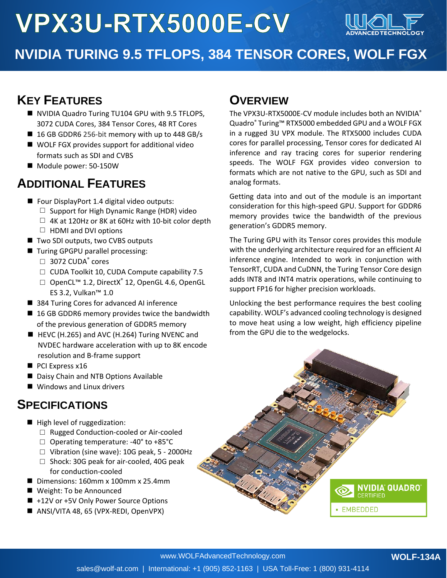# VPX3U-RTX5000E-CV



# **NVIDIA TURING 9.5 TFLOPS, 384 TENSOR CORES, WOLF FGX**

# **KEY FEATURES**

- NVIDIA Quadro Turing TU104 GPU with 9.5 TFLOPS, 3072 CUDA Cores, 384 Tensor Cores, 48 RT Cores
- 16 GB GDDR6 256-bit memory with up to 448 GB/s
- WOLF FGX provides support for additional video formats such as SDI and CVBS
- Module power: 50-150W

### **ADDITIONAL FEATURES**

- Four DisplayPort 1.4 digital video outputs:
	- $\Box$  Support for High Dynamic Range (HDR) video
	- $\Box$  4K at 120Hz or 8K at 60Hz with 10-bit color depth
	- $\Box$  HDMI and DVI options
- Two SDI outputs, two CVBS outputs
- Turing GPGPU parallel processing:  $\Box$  3072 CUDA $\degree$  cores
	- □ CUDA Toolkit 10, CUDA Compute capability 7.5
	- □ OpenCL<sup>™</sup> 1.2, DirectX<sup>®</sup> 12, OpenGL 4.6, OpenGL ES 3.2, Vulkan™ 1.0
- 384 Turing Cores for advanced AI inference
- 16 GB GDDR6 memory provides twice the bandwidth of the previous generation of GDDR5 memory
- HEVC (H.265) and AVC (H.264) Turing NVENC and NVDEC hardware acceleration with up to 8K encode resolution and B-frame support
- PCI Express x16
- Daisy Chain and NTB Options Available
- Windows and Linux drivers

#### **SPECIFICATIONS**

- High level of ruggedization:
	- □ Rugged Conduction-cooled or Air-cooled
	- □ Operating temperature: -40° to +85°C
	- □ Vibration (sine wave): 10G peak, 5 2000Hz
	- □ Shock: 30G peak for air-cooled, 40G peak for conduction-cooled
- Dimensions: 160mm x 100mm x 25.4mm
- Weight: To be Announced
- +12V or +5V Only Power Source Options
- ANSI/VITA 48, 65 (VPX-REDI, OpenVPX)

#### **OVERVIEW**

The VPX3U-RTX5000E-CV module includes both an NVIDIA® Quadro® Turing™ RTX5000 embedded GPU and a WOLF FGX in a rugged 3U VPX module. The RTX5000 includes CUDA cores for parallel processing, Tensor cores for dedicated AI inference and ray tracing cores for superior rendering speeds. The WOLF FGX provides video conversion to formats which are not native to the GPU, such as SDI and analog formats.

Getting data into and out of the module is an important consideration for this high-speed GPU. Support for GDDR6 memory provides twice the bandwidth of the previous generation's GDDR5 memory.

The Turing GPU with its Tensor cores provides this module with the underlying architecture required for an efficient AI inference engine. Intended to work in conjunction with TensorRT, CUDA and CuDNN, the Turing Tensor Core design adds INT8 and INT4 matrix operations, while continuing to support FP16 for higher precision workloads.

Unlocking the best performance requires the best cooling capability. WOLF's advanced cooling technology is designed to move heat using a low weight, high efficiency pipeline from the GPU die to the wedgelocks.

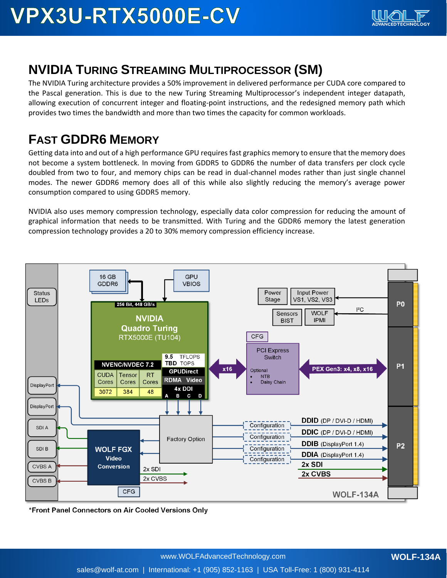# **NVIDIA TURING STREAMING MULTIPROCESSOR (SM)**

The NVIDIA Turing architecture provides a 50% improvement in delivered performance per CUDA core compared to the Pascal generation. This is due to the new Turing Streaming Multiprocessor's independent integer datapath, allowing execution of concurrent integer and floating-point instructions, and the redesigned memory path which provides two times the bandwidth and more than two times the capacity for common workloads.

# **FAST GDDR6 MEMORY**

Getting data into and out of a high performance GPU requires fast graphics memory to ensure that the memory does not become a system bottleneck. In moving from GDDR5 to GDDR6 the number of data transfers per clock cycle doubled from two to four, and memory chips can be read in dual-channel modes rather than just single channel modes. The newer GDDR6 memory does all of this while also slightly reducing the memory's average power consumption compared to using GDDR5 memory.

NVIDIA also uses memory compression technology, especially data color compression for reducing the amount of graphical information that needs to be transmitted. With Turing and the GDDR6 memory the latest generation compression technology provides a 20 to 30% memory compression efficiency increase.



\*Front Panel Connectors on Air Cooled Versions Only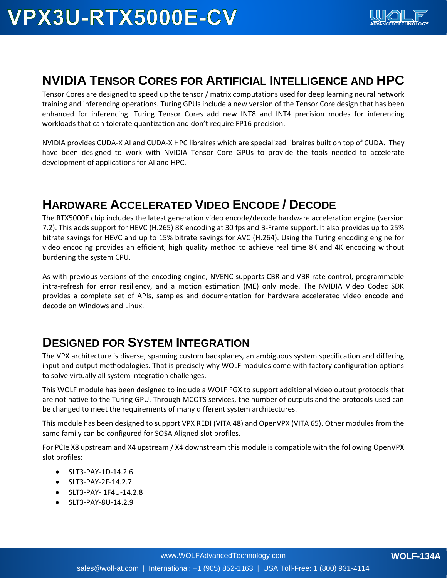#### **NVIDIA TENSOR CORES FOR ARTIFICIAL INTELLIGENCE AND HPC**

Tensor Cores are designed to speed up the tensor / matrix computations used for deep learning neural network training and inferencing operations. Turing GPUs include a new version of the Tensor Core design that has been enhanced for inferencing. Turing Tensor Cores add new INT8 and INT4 precision modes for inferencing workloads that can tolerate quantization and don't require FP16 precision.

NVIDIA provides CUDA-X AI and CUDA-X HPC libraires which are specialized libraires built on top of CUDA. They have been designed to work with NVIDIA Tensor Core GPUs to provide the tools needed to accelerate development of applications for AI and HPC.

### **HARDWARE ACCELERATED VIDEO ENCODE / DECODE**

The RTX5000E chip includes the latest generation video encode/decode hardware acceleration engine (version 7.2). This adds support for HEVC (H.265) 8K encoding at 30 fps and B-Frame support. It also provides up to 25% bitrate savings for HEVC and up to 15% bitrate savings for AVC (H.264). Using the Turing encoding engine for video encoding provides an efficient, high quality method to achieve real time 8K and 4K encoding without burdening the system CPU.

As with previous versions of the encoding engine, NVENC supports CBR and VBR rate control, programmable intra-refresh for error resiliency, and a motion estimation (ME) only mode. The NVIDIA Video Codec SDK provides a complete set of APIs, samples and documentation for hardware accelerated video encode and decode on Windows and Linux.

#### **DESIGNED FOR SYSTEM INTEGRATION**

The VPX architecture is diverse, spanning custom backplanes, an ambiguous system specification and differing input and output methodologies. That is precisely why WOLF modules come with factory configuration options to solve virtually all system integration challenges.

This WOLF module has been designed to include a WOLF FGX to support additional video output protocols that are not native to the Turing GPU. Through MCOTS services, the number of outputs and the protocols used can be changed to meet the requirements of many different system architectures.

This module has been designed to support VPX REDI (VITA 48) and OpenVPX (VITA 65). Other modules from the same family can be configured for SOSA Aligned slot profiles.

For PCIe X8 upstream and X4 upstream / X4 downstream this module is compatible with the following OpenVPX slot profiles:

- SLT3-PAY-1D-14.2.6
- SLT3-PAY-2F-14.2.7
- SLT3-PAY- 1F4U-14.2.8
- SLT3-PAY-8U-14.2.9